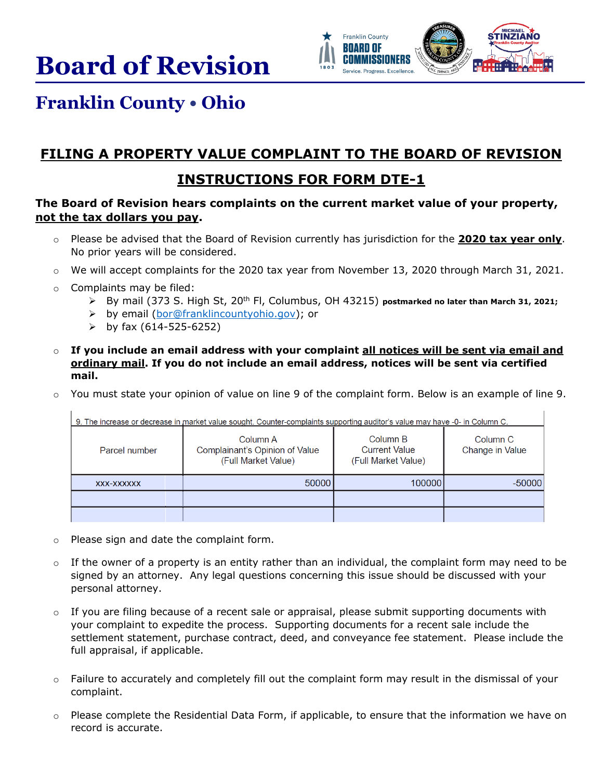**Board of Revision** 



## **Franklin County • Ohio**

## **FILING A PROPERTY VALUE COMPLAINT TO THE BOARD OF REVISION**

## **INSTRUCTIONS FOR FORM DTE-1**

## **The Board of Revision hears complaints on the current market value of your property, not the tax dollars you pay.**

- o Please be advised that the Board of Revision currently has jurisdiction for the **2020 tax year only**. No prior years will be considered.
- $\circ$  We will accept complaints for the 2020 tax year from November 13, 2020 through March 31, 2021.
- o Complaints may be filed:
	- $\triangleright$  By mail (373 S. High St, 20<sup>th</sup> Fl, Columbus, OH 43215) **postmarked no later than March 31, 2021;**
	- by email [\(bor@franklincountyohio.gov\)](mailto:bor@franklincountyohio.gov); or
	- $\triangleright$  by fax (614-525-6252)
- o **If you include an email address with your complaint all notices will be sent via email and ordinary mail. If you do not include an email address, notices will be sent via certified mail.**
- o You must state your opinion of value on line 9 of the complaint form. Below is an example of line 9.

9. The increase or decrease in market value sought. Counter-complaints supporting auditor's value may have -0- in Column C.

| Parcel number | Column A<br>Complainant's Opinion of Value<br>(Full Market Value) | Column B<br><b>Current Value</b><br>(Full Market Value) | Column C<br>Change in Value |
|---------------|-------------------------------------------------------------------|---------------------------------------------------------|-----------------------------|
| XXX-XXXXXX    | 50000                                                             | 100000                                                  | $-50000$                    |
|               |                                                                   |                                                         |                             |
|               |                                                                   |                                                         |                             |

- o Please sign and date the complaint form.
- $\circ$  If the owner of a property is an entity rather than an individual, the complaint form may need to be signed by an attorney. Any legal questions concerning this issue should be discussed with your personal attorney.
- $\circ$  If you are filing because of a recent sale or appraisal, please submit supporting documents with your complaint to expedite the process. Supporting documents for a recent sale include the settlement statement, purchase contract, deed, and conveyance fee statement. Please include the full appraisal, if applicable.
- $\circ$  Failure to accurately and completely fill out the complaint form may result in the dismissal of your complaint.
- $\circ$  Please complete the Residential Data Form, if applicable, to ensure that the information we have on record is accurate.